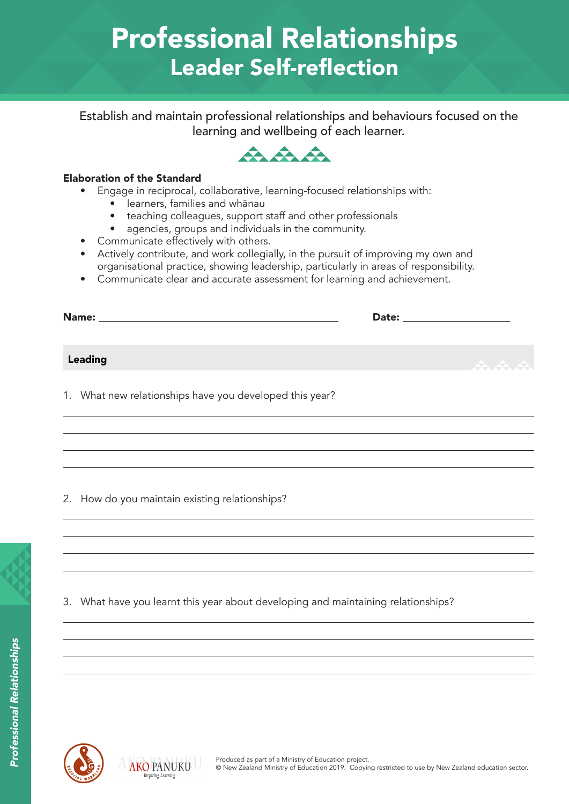# Professional Relationships Leader Self-reflection

Establish and maintain professional relationships and behaviours focused on the learning and wellbeing of each learner.



### Elaboration of the Standard

- Engage in reciprocal, collaborative, learning-focused relationships with:
	- learners, families and whānau
	- teaching colleagues, support staff and other professionals
	- agencies, groups and individuals in the community.
- Communicate effectively with others.
- Actively contribute, and work collegially, in the pursuit of improving my own and organisational practice, showing leadership, particularly in areas of responsibility.
- Communicate clear and accurate assessment for learning and achievement.

| Name:   | Date: and the state of the state of the state of the state of the state of the state of the state of the state |     |
|---------|----------------------------------------------------------------------------------------------------------------|-----|
|         |                                                                                                                |     |
| Leading |                                                                                                                | 东东东 |
|         |                                                                                                                |     |

1. What new relationships have you developed this year?

2. How do you maintain existing relationships?

3. What have you learnt this year about developing and maintaining relationships?



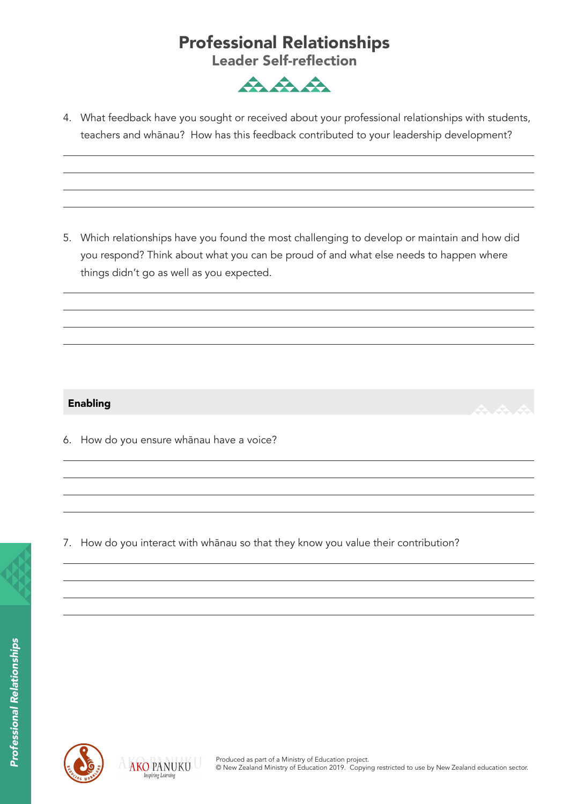## Professional Relationships

Leader Self-reflection



4. What feedback have you sought or received about your professional relationships with students, teachers and whānau? How has this feedback contributed to your leadership development?

5. Which relationships have you found the most challenging to develop or maintain and how did you respond? Think about what you can be proud of and what else needs to happen where things didn't go as well as you expected.

### Enabling

6. How do you ensure whānau have a voice?

7. How do you interact with whānau so that they know you value their contribution?



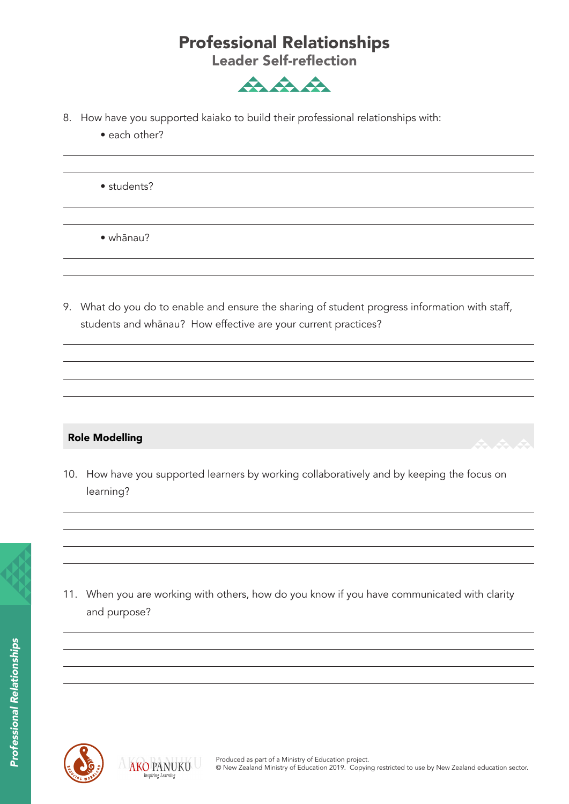## Professional Relationships

Leader Self-reflection



- 8. How have you supported kaiako to build their professional relationships with:
	- each other?

• students?

• whānau?

9. What do you do to enable and ensure the sharing of student progress information with staff, students and whānau? How effective are your current practices?

### Role Modelling

and purpose?

10. How have you supported learners by working collaboratively and by keeping the focus on learning?

11. When you are working with others, how do you know if you have communicated with clarity



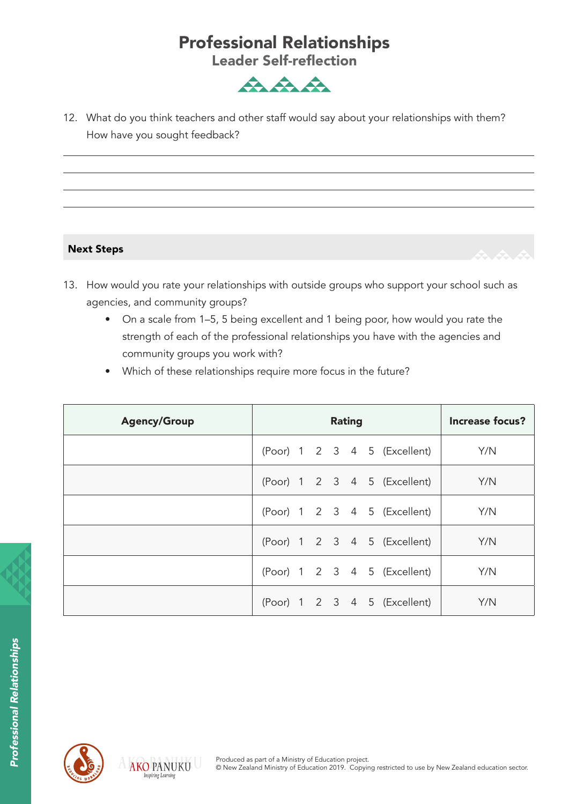## Professional Relationships

Leader Self-reflection



12. What do you think teachers and other staff would say about your relationships with them? How have you sought feedback?

### Next Steps

- 13. How would you rate your relationships with outside groups who support your school such as agencies, and community groups?
	- On a scale from 1–5, 5 being excellent and 1 being poor, how would you rate the strength of each of the professional relationships you have with the agencies and community groups you work with?
	- Which of these relationships require more focus in the future?

| <b>Agency/Group</b> | <b>Rating</b> |  |  |  |  |  |                              | <b>Increase focus?</b> |
|---------------------|---------------|--|--|--|--|--|------------------------------|------------------------|
|                     |               |  |  |  |  |  | (Poor) 1 2 3 4 5 (Excellent) | Y/N                    |
|                     |               |  |  |  |  |  | (Poor) 1 2 3 4 5 (Excellent) | Y/N                    |
|                     |               |  |  |  |  |  | (Poor) 1 2 3 4 5 (Excellent) | Y/N                    |
|                     |               |  |  |  |  |  | (Poor) 1 2 3 4 5 (Excellent) | Y/N                    |
|                     |               |  |  |  |  |  | (Poor) 1 2 3 4 5 (Excellent) | Y/N                    |
|                     |               |  |  |  |  |  | (Poor) 1 2 3 4 5 (Excellent) | Y/N                    |



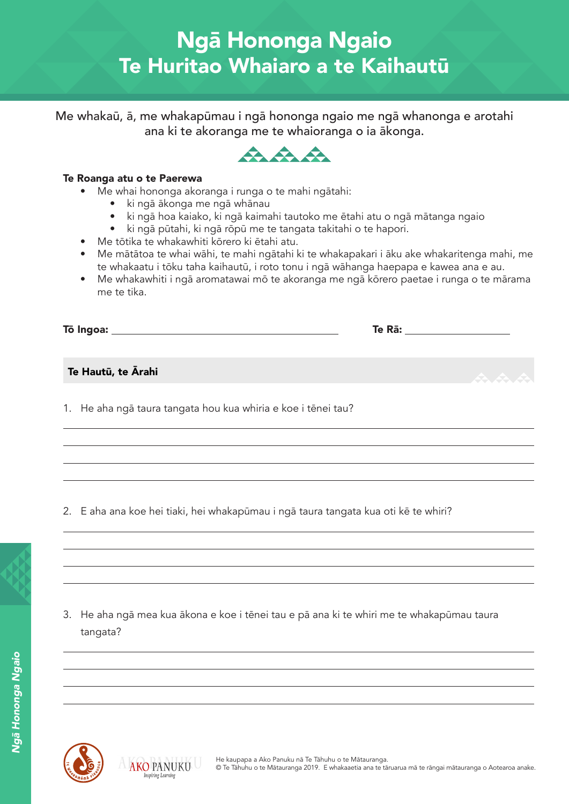Me whakaū, ā, me whakapūmau i ngā hononga ngaio me ngā whanonga e arotahi ana ki te akoranga me te whaioranga o ia ākonga.



#### Te Roanga atu o te Paerewa

- Me whai hononga akoranga i runga o te mahi ngātahi:
	- ki ngā ākonga me ngā whānau
	- ki ngā hoa kaiako, ki ngā kaimahi tautoko me ētahi atu o ngā mātanga ngaio
	- ki ngā pūtahi, ki ngā rōpū me te tangata takitahi o te hapori.
- Me tōtika te whakawhiti kōrero ki ētahi atu.
- Me mātātoa te whai wāhi, te mahi ngātahi ki te whakapakari i āku ake whakaritenga mahi, me te whakaatu i tōku taha kaihautū, i roto tonu i ngā wāhanga haepapa e kawea ana e au.
- Me whakawhiti i ngā aromatawai mō te akoranga me ngā kōrero paetae i runga o te mārama me te tika.

| Tō Ingoa:          | Te Rā: |       |
|--------------------|--------|-------|
| Te Hautū, te Ārahi |        | A A A |
|                    |        |       |

1. He aha ngā taura tangata hou kua whiria e koe i tēnei tau?

2. E aha ana koe hei tiaki, hei whakapūmau i ngā taura tangata kua oti kē te whiri?

3. He aha ngā mea kua ākona e koe i tēnei tau e pā ana ki te whiri me te whakapūmau taura tangata?



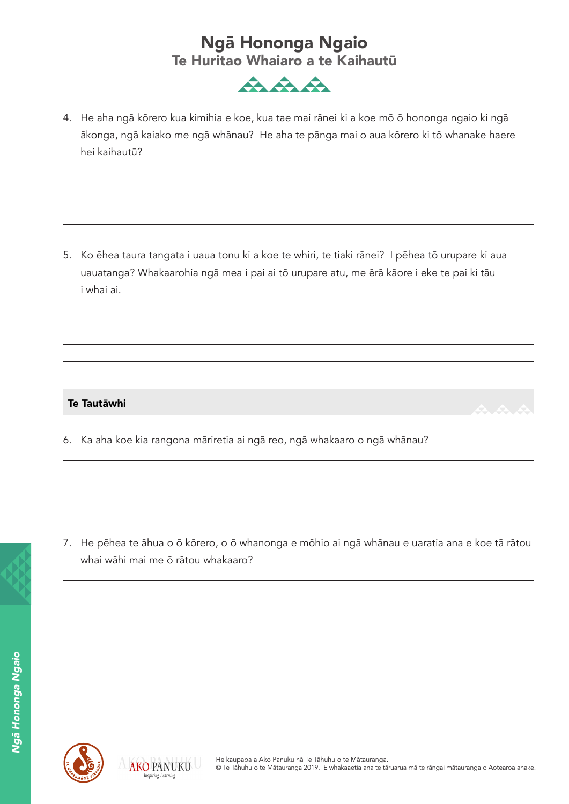

4. He aha ngā kōrero kua kimihia e koe, kua tae mai rānei ki a koe mō ō hononga ngaio ki ngā ākonga, ngā kaiako me ngā whānau? He aha te pānga mai o aua kōrero ki tō whanake haere hei kaihautū?

5. Ko ēhea taura tangata i uaua tonu ki a koe te whiri, te tiaki rānei? I pēhea tō urupare ki aua uauatanga? Whakaarohia ngā mea i pai ai tō urupare atu, me ērā kāore i eke te pai ki tāu i whai ai.

#### Te Tautāwhi

6. Ka aha koe kia rangona māriretia ai ngā reo, ngā whakaaro o ngā whānau?

7. He pēhea te āhua o ō kōrero, o ō whanonga e mōhio ai ngā whānau e uaratia ana e koe tā rātou whai wāhi mai me ō rātou whakaaro?



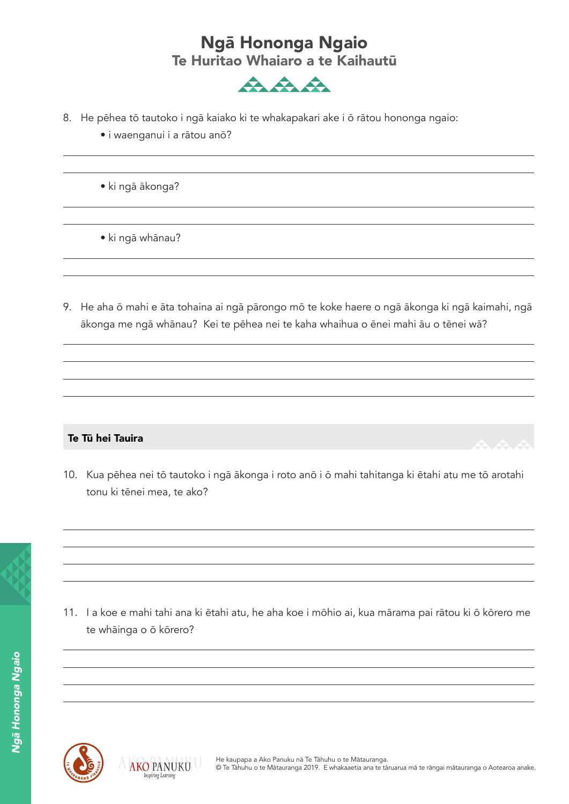

- 8. He pēhea tō tautoko i ngā kaiako ki te whakapakari ake i ō rātou hononga ngaio:
	- i waenganui i a rātou anō?
	- ki ngā ākonga?
	- ki ngā whānau?
- 9. He aha ō mahi e āta tohaina ai ngā pārongo mō te koke haere o ngā ākonga ki ngā kaimahi, ngā ākonga me ngā whānau? Kei te pēhea nei te kaha whaihua o ēnei mahi āu o tēnei wā?

### Te Tū hei Tauira

10. Kua pēhea nei tō tautoko i ngā ākonga i roto anō i ō mahi tahitanga ki ētahi atu me tō arotahi tonu ki tēnei mea, te ako?

11. I a koe e mahi tahi ana ki ētahi atu, he aha koe i mōhio ai, kua mārama pai rātou ki ō kōrero me





te whāinga o ō kōrero?